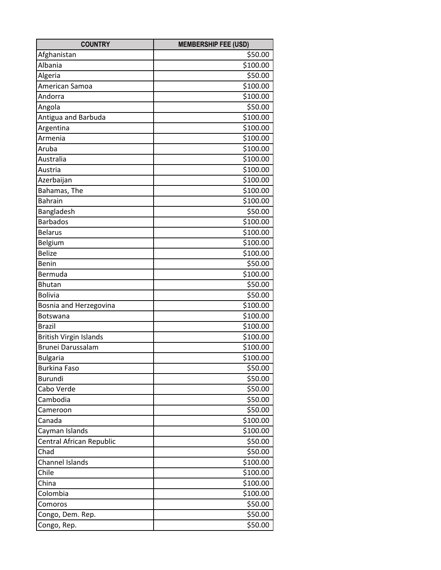| <b>COUNTRY</b>           | <b>MEMBERSHIP FEE (USD)</b> |
|--------------------------|-----------------------------|
| Afghanistan              | \$50.00                     |
| Albania                  | \$100.00                    |
| Algeria                  | \$50.00                     |
| American Samoa           | \$100.00                    |
| Andorra                  | \$100.00                    |
| Angola                   | \$50.00                     |
| Antigua and Barbuda      | \$100.00                    |
| Argentina                | \$100.00                    |
| Armenia                  | \$100.00                    |
| Aruba                    | \$100.00                    |
| Australia                | \$100.00                    |
| Austria                  | \$100.00                    |
| Azerbaijan               | \$100.00                    |
| Bahamas, The             | \$100.00                    |
| <b>Bahrain</b>           | \$100.00                    |
| Bangladesh               | \$50.00                     |
| <b>Barbados</b>          | \$100.00                    |
| <b>Belarus</b>           | \$100.00                    |
| Belgium                  | \$100.00                    |
| <b>Belize</b>            | \$100.00                    |
| Benin                    | \$50.00                     |
| Bermuda                  | \$100.00                    |
| <b>Bhutan</b>            | \$50.00                     |
| <b>Bolivia</b>           | \$50.00                     |
| Bosnia and Herzegovina   | \$100.00                    |
| <b>Botswana</b>          | \$100.00                    |
| <b>Brazil</b>            | \$100.00                    |
| British Virgin Islands   | \$100.00                    |
| <b>Brunei Darussalam</b> | \$100.00                    |
| <b>Bulgaria</b>          | \$100.00                    |
| <b>Burkina Faso</b>      | \$50.00                     |
| <b>Burundi</b>           | \$50.00                     |
| Cabo Verde               | \$50.00                     |
| Cambodia                 | \$50.00                     |
| Cameroon                 | \$50.00                     |
| Canada                   | \$100.00                    |
| Cayman Islands           | \$100.00                    |
| Central African Republic | \$50.00                     |
| Chad                     | \$50.00                     |
| Channel Islands          | \$100.00                    |
| Chile                    | \$100.00                    |
| China                    | \$100.00                    |
| Colombia                 | \$100.00                    |
| Comoros                  | \$50.00                     |
| Congo, Dem. Rep.         | \$50.00                     |
| Congo, Rep.              | \$50.00                     |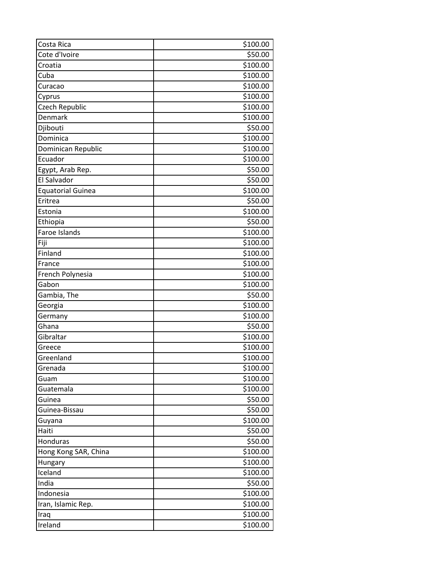| Costa Rica               | \$100.00 |
|--------------------------|----------|
| Cote d'Ivoire            | \$50.00  |
| Croatia                  | \$100.00 |
| Cuba                     | \$100.00 |
| Curacao                  | \$100.00 |
| Cyprus                   | \$100.00 |
| Czech Republic           | \$100.00 |
| Denmark                  | \$100.00 |
| Djibouti                 | \$50.00  |
| Dominica                 | \$100.00 |
| Dominican Republic       | \$100.00 |
| Ecuador                  | \$100.00 |
| Egypt, Arab Rep.         | \$50.00  |
| El Salvador              | \$50.00  |
| <b>Equatorial Guinea</b> | \$100.00 |
| Eritrea                  | \$50.00  |
| Estonia                  | \$100.00 |
| Ethiopia                 | \$50.00  |
| Faroe Islands            | \$100.00 |
| Fiji                     | \$100.00 |
| Finland                  | \$100.00 |
| France                   | \$100.00 |
| French Polynesia         | \$100.00 |
| Gabon                    | \$100.00 |
| Gambia, The              | \$50.00  |
| Georgia                  | \$100.00 |
| Germany                  | \$100.00 |
| Ghana                    | \$50.00  |
| Gibraltar                | \$100.00 |
| Greece                   | \$100.00 |
| Greenland                | \$100.00 |
| Grenada                  | \$100.00 |
| Guam                     | \$100.00 |
| Guatemala                | \$100.00 |
| Guinea                   | \$50.00  |
| Guinea-Bissau            | \$50.00  |
| Guyana                   | \$100.00 |
| Haiti                    | \$50.00  |
| Honduras                 | \$50.00  |
| Hong Kong SAR, China     | \$100.00 |
| Hungary                  | \$100.00 |
| Iceland                  | \$100.00 |
| India                    | \$50.00  |
| Indonesia                | \$100.00 |
| Iran, Islamic Rep.       | \$100.00 |
| Iraq                     | \$100.00 |
| Ireland                  | \$100.00 |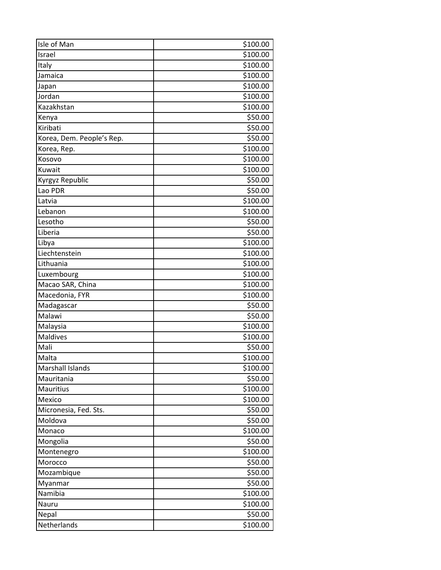| Isle of Man               | \$100.00             |
|---------------------------|----------------------|
| Israel                    | $\overline{5}100.00$ |
| Italy                     | \$100.00             |
| Jamaica                   | \$100.00             |
| Japan                     | \$100.00             |
| Jordan                    | \$100.00             |
| Kazakhstan                | \$100.00             |
| Kenya                     | \$50.00              |
| Kiribati                  | \$50.00              |
| Korea, Dem. People's Rep. | \$50.00              |
| Korea, Rep.               | \$100.00             |
| Kosovo                    | \$100.00             |
| Kuwait                    | \$100.00             |
| Kyrgyz Republic           | \$50.00              |
| Lao PDR                   | \$50.00              |
| Latvia                    | \$100.00             |
| Lebanon                   | \$100.00             |
| Lesotho                   | \$50.00              |
| Liberia                   | \$50.00              |
| Libya                     | \$100.00             |
| Liechtenstein             | \$100.00             |
| Lithuania                 | \$100.00             |
| Luxembourg                | \$100.00             |
| Macao SAR, China          | \$100.00             |
| Macedonia, FYR            | \$100.00             |
| Madagascar                | \$50.00              |
| Malawi                    | \$50.00              |
| Malaysia                  | \$100.00             |
| <b>Maldives</b>           | \$100.00             |
| Mali                      | \$50.00              |
| Malta                     | \$100.00             |
| Marshall Islands          | \$100.00             |
| Mauritania                | \$50.00              |
| Mauritius                 | \$100.00             |
| Mexico                    | \$100.00             |
| Micronesia, Fed. Sts.     | \$50.00              |
| Moldova                   | \$50.00              |
| Monaco                    | \$100.00             |
| Mongolia                  | \$50.00              |
| Montenegro                | \$100.00             |
| Morocco                   | \$50.00              |
| Mozambique                | \$50.00              |
| Myanmar                   | \$50.00              |
| Namibia                   | \$100.00             |
| Nauru                     | \$100.00             |
| Nepal                     | \$50.00              |
| Netherlands               | \$100.00             |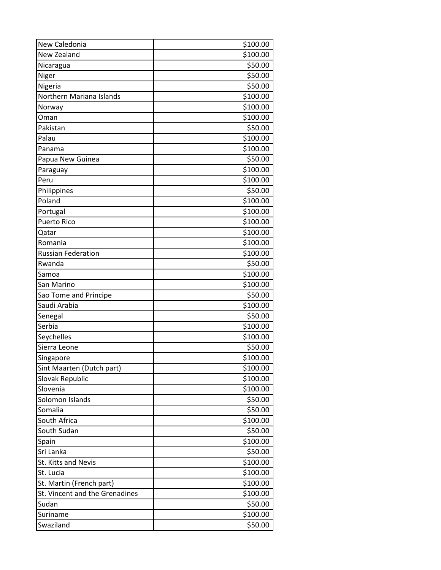| New Caledonia                  | \$100.00 |
|--------------------------------|----------|
| New Zealand                    | \$100.00 |
| Nicaragua                      | \$50.00  |
| Niger                          | \$50.00  |
| Nigeria                        | \$50.00  |
| Northern Mariana Islands       | \$100.00 |
| Norway                         | \$100.00 |
| Oman                           | \$100.00 |
| Pakistan                       | \$50.00  |
| Palau                          | \$100.00 |
| Panama                         | \$100.00 |
| Papua New Guinea               | \$50.00  |
| Paraguay                       | \$100.00 |
| Peru                           | \$100.00 |
| Philippines                    | \$50.00  |
| Poland                         | \$100.00 |
| Portugal                       | \$100.00 |
| <b>Puerto Rico</b>             | \$100.00 |
| Qatar                          | \$100.00 |
| Romania                        | \$100.00 |
| <b>Russian Federation</b>      | \$100.00 |
| Rwanda                         | \$50.00  |
| Samoa                          | \$100.00 |
| San Marino                     | \$100.00 |
| Sao Tome and Principe          | \$50.00  |
| Saudi Arabia                   | \$100.00 |
| Senegal                        | \$50.00  |
| Serbia                         | \$100.00 |
| Seychelles                     | \$100.00 |
| Sierra Leone                   | \$50.00  |
| Singapore                      | \$100.00 |
| Sint Maarten (Dutch part)      | \$100.00 |
| Slovak Republic                | \$100.00 |
| Slovenia                       | \$100.00 |
| Solomon Islands                | \$50.00  |
| Somalia                        | \$50.00  |
| South Africa                   | \$100.00 |
| South Sudan                    | \$50.00  |
| Spain                          | \$100.00 |
| Sri Lanka                      | \$50.00  |
| <b>St. Kitts and Nevis</b>     | \$100.00 |
| St. Lucia                      | \$100.00 |
| St. Martin (French part)       | \$100.00 |
| St. Vincent and the Grenadines | \$100.00 |
| Sudan                          | \$50.00  |
| Suriname                       | \$100.00 |
| Swaziland                      | \$50.00  |